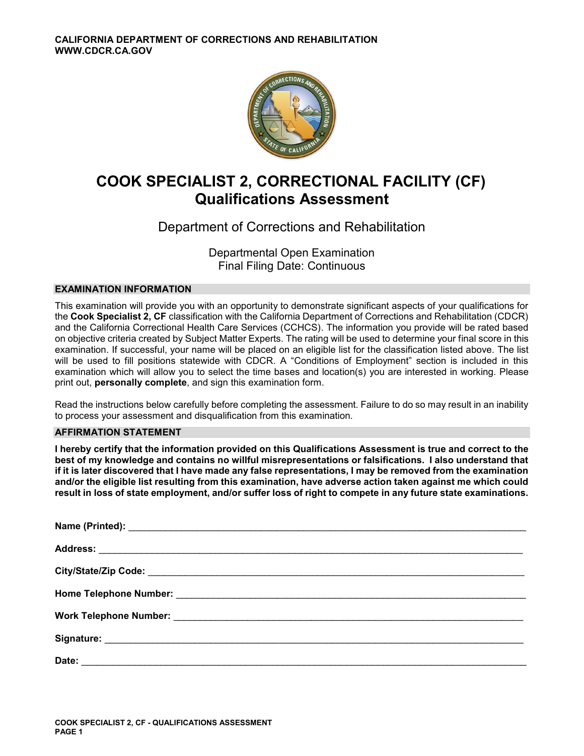

# **COOK SPECIALIST 2, CORRECTIONAL FACILITY (CF) Qualifications Assessment**

# Department of Corrections and Rehabilitation

Departmental Open Examination Final Filing Date: Continuous

## **EXAMINATION INFORMATION**

This examination will provide you with an opportunity to demonstrate significant aspects of your qualifications for the **Cook Specialist 2, CF** classification with the California Department of Corrections and Rehabilitation (CDCR) and the California Correctional Health Care Services (CCHCS). The information you provide will be rated based on objective criteria created by Subject Matter Experts. The rating will be used to determine your final score in this examination. If successful, your name will be placed on an eligible list for the classification listed above. The list will be used to fill positions statewide with CDCR. A "Conditions of Employment" section is included in this examination which will allow you to select the time bases and location(s) you are interested in working. Please print out, **personally complete**, and sign this examination form.

Read the instructions below carefully before completing the assessment. Failure to do so may result in an inability to process your assessment and disqualification from this examination.

## **AFFIRMATION STATEMENT**

**I hereby certify that the information provided on this Qualifications Assessment is true and correct to the best of my knowledge and contains no willful misrepresentations or falsifications. I also understand that if it is later discovered that I have made any false representations, I may be removed from the examination and/or the eligible list resulting from this examination, have adverse action taken against me which could result in loss of state employment, and/or suffer loss of right to compete in any future state examinations.**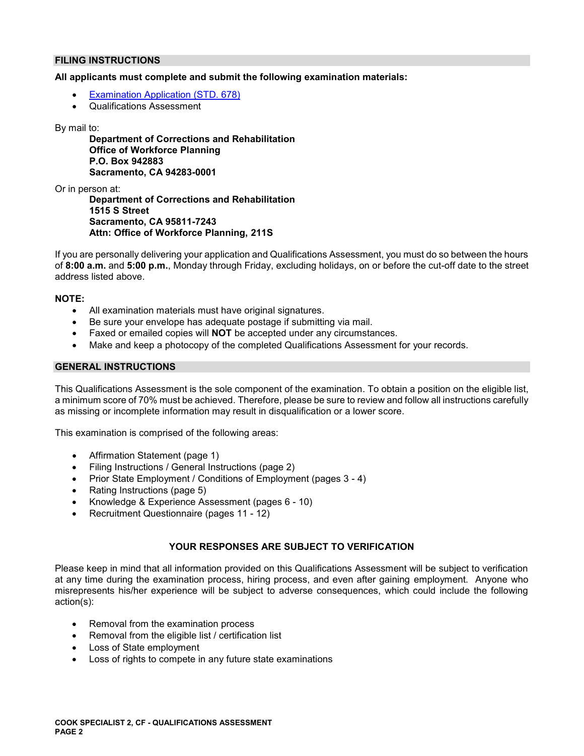## **FILING INSTRUCTIONS**

## **All applicants must complete and submit the following examination materials:**

- [Examination Application \(STD. 678\)](https://jobs.ca.gov/pdf/STD678.pdf)
- Qualifications Assessment

### By mail to:

**Department of Corrections and Rehabilitation Office of Workforce Planning P.O. Box 942883 Sacramento, CA 94283-0001** 

Or in person at:

**Department of Corrections and Rehabilitation 1515 S Street Sacramento, CA 95811-7243 Attn: Office of Workforce Planning, 211S** 

If you are personally delivering your application and Qualifications Assessment, you must do so between the hours of **8:00 a.m.** and **5:00 p.m.**, Monday through Friday, excluding holidays, on or before the cut-off date to the street address listed above.

## **NOTE:**

- All examination materials must have original signatures.
- Be sure your envelope has adequate postage if submitting via mail.
- Faxed or emailed copies will **NOT** be accepted under any circumstances.
- Make and keep a photocopy of the completed Qualifications Assessment for your records.

## **GENERAL INSTRUCTIONS**

This Qualifications Assessment is the sole component of the examination. To obtain a position on the eligible list, a minimum score of 70% must be achieved. Therefore, please be sure to review and follow all instructions carefully as missing or incomplete information may result in disqualification or a lower score.

This examination is comprised of the following areas:

- Affirmation Statement (page 1)
- Filing Instructions / General Instructions (page 2)
- Prior State Employment / Conditions of Employment (pages 3 4)
- Rating Instructions (page 5)
- Knowledge & Experience Assessment (pages 6 10)
- Recruitment Questionnaire (pages 11 12)

## **YOUR RESPONSES ARE SUBJECT TO VERIFICATION**

Please keep in mind that all information provided on this Qualifications Assessment will be subject to verification at any time during the examination process, hiring process, and even after gaining employment. Anyone who misrepresents his/her experience will be subject to adverse consequences, which could include the following action(s):

- Removal from the examination process
- Removal from the eligible list / certification list
- Loss of State employment
- Loss of rights to compete in any future state examinations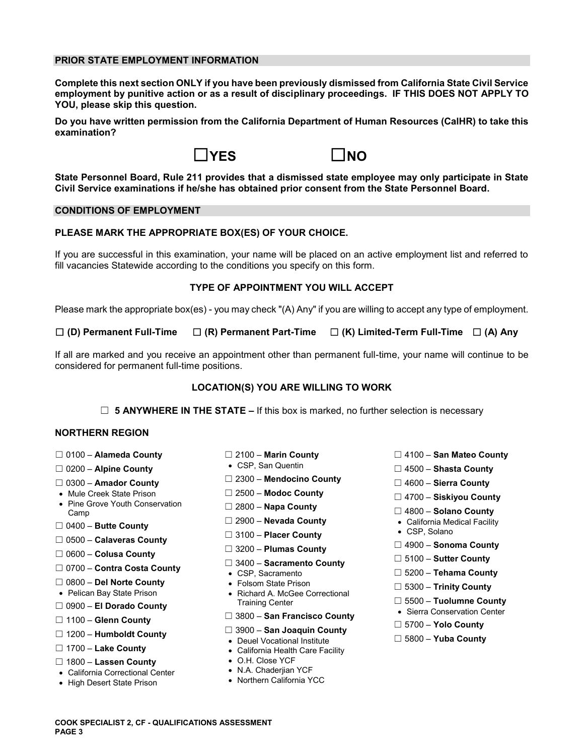## **PRIOR STATE EMPLOYMENT INFORMATION**

**Complete this next section ONLY if you have been previously dismissed from California State Civil Service employment by punitive action or as a result of disciplinary proceedings. IF THIS DOES NOT APPLY TO YOU, please skip this question.** 

**Do you have written permission from the California Department of Human Resources (CalHR) to take this examination?** 





**State Personnel Board, Rule 211 provides that a dismissed state employee may only participate in State Civil Service examinations if he/she has obtained prior consent from the State Personnel Board.** 

## **CONDITIONS OF EMPLOYMENT**

## **PLEASE MARK THE APPROPRIATE BOX(ES) OF YOUR CHOICE.**

If you are successful in this examination, your name will be placed on an active employment list and referred to fill vacancies Statewide according to the conditions you specify on this form.

### **TYPE OF APPOINTMENT YOU WILL ACCEPT**

Please mark the appropriate box(es) - you may check "(A) Any" if you are willing to accept any type of employment.

☐ **(D) Permanent Full-Time** ☐ **(R) Permanent Part-Time** ☐ **(K) Limited-Term Full-Time** ☐ **(A) Any** 

If all are marked and you receive an appointment other than permanent full-time, your name will continue to be considered for permanent full-time positions.

### **LOCATION(S) YOU ARE WILLING TO WORK**

☐ **5 ANYWHERE IN THE STATE –** If this box is marked, no further selection is necessary

### **NORTHERN REGION**

- 
- 
- 
- 
- Mule Creek State Prison ☐ 2500 **Modoc County** ☐ 4700 **Siskiyou County**  Pine Grove Youth Conservation ☐ 2800 **Napa County** Camp ☐ 4800 **Solano County**
- 
- ☐ 0500 **Calaveras County**
- 
- ☐ 0700 **Contra Costa County**  CSP, Sacramento ☐ 5200 **Tehama County**
- 
- 
- 
- 
- ☐ ☐ 3900 **San Joaquin County** 1200 **Humboldt County**  Deuel Vocational Institute ☐ 5800 **Yuba County**
- 
- ☐ 1800 **Lassen County**  O.H. Close YCF
- California Correctional Center N.A. Chaderjian YCF
- High Desert State Prison
- 
- 
- ☐ 2300 **Mendocino County** 0300 **Amador County** ☐ ☐ 4600 **Sierra County** 
	-
	-
	-
	- □ 3100 Placer County
	-
	-
	-
	-
- ☐ 0800 **Del Norte County**  Folsom State Prison ☐ 5300 **Trinity County**  Pelican Bay State Prison Richard A. McGee Correctional ☐ **El Dorado County** Training Center ☐ 5500 – **Tuolumne County** 0900 – Sierra Conservation Center
	-
- ☐ ☐ 3800 **San Francisco County** 1100 **Glenn County** ☐ 5700 **Yolo County** 
	-
	- California Health Care Facility
	-
	-
	-
- ☐ 0100 **Alameda County** ☐ 2100 **Marin County** ☐ 4100 **San Mateo County**
- ☐ **Alpine County**  CSP, San Quentin 0200 ☐ 4500 **Shasta County** 
	-
	-
	-
- ☐ 2900 **Nevada County**  California Medical Facility ☐ 0400 **Butte County** 
	-
- ☐ ☐ 4900 **Sonoma County** 3200 **Plumas County** ☐ 0600 **Colusa County** 
	-
	- ☐ 5100 **Sutter County** 3400 **Sacramento County** ☐
		-
		-
		-
		-
		-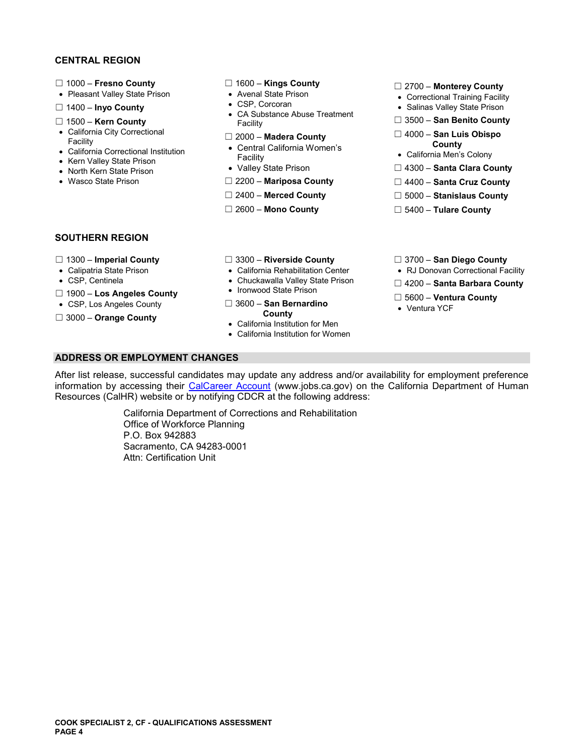## **CENTRAL REGION**

- 
- 
- 
- 
- 
- 
- Facility California Men's Colony Kern Valley State Prison
- 
- 

- 
- 
- □ 1400 **Inyo County** <br>CA Substance Abuse Treatment **and Substance Abuse Treatment** <br>Salinas Valley State Prison <br>San Benito Count Facility Facility ☐ 1500 – **Kern County** Facility ☐ 3500 – **San Benito County** 
	-
- California Correctional Institution **California Women's** California Correctional Institution **County County County**<br>
Facility **County County County County County County County County County County County County County Coun** 
	-
	-
	-
	-

- ☐ 1000 **Fresno County** ☐ 1600 **Kings County** ☐ 2700 **Monterey County**  Pleasant Valley State Prison Avenal State Prison Correctional Training Facility
	-
	-
	- California City Correctional ☐ 2000 **Madera County** ☐ 4000 **San Luis Obispo** Facility
		-
- North Kern State Prison Valley State Prison □ 4300 **Santa Clara County**
- Wasco State Prison **□ 2200 Mariposa County Diameter Diameter State Cruz County** 
	- ☐ 2400 **Merced County** ☐ 5000 **Stanislaus County**
	- ☐ 2600 **Mono County** ☐ 5400 **Tulare County**

## **SOUTHERN REGION**

- 
- 
- 
- ☐ 1900 **Los Angeles County**  Ironwood State Prison
- 
- 
- ☐ 1300 **Imperial County** ☐ 3300 **Riverside County** ☐ 3700 **San Diego County**
- Calipatria State Prison California Rehabilitation Center RJ Donovan Correctional Facility
	-
	-
- ☐ 5600 **Ventura County**  CSP, Los Angeles County ☐ 3600 **San Bernardino** <sup>V</sup>

• California Institution for Men California Institution for Women

- 
- CSP, Centinela **Chuckawalla Valley State Prison** □ 4200 **Santa Barbara County 1000 Line Arroller County** Ironwood State Prison
	-
	-

**ADDRESS OR EMPLOYMENT CHANGES** 

After list release, successful candidates may update any address and/or availability for employment preference information by accessing their [CalCareer Account](https://www.jobs.ca.gov/) (www.jobs.ca.gov) on the California Department of Human Resources (CalHR) website or by notifying CDCR at the following address:

> California Department of Corrections and Rehabilitation Office of Workforce Planning P.O. Box 942883 Sacramento, CA 94283-0001 Attn: Certification Unit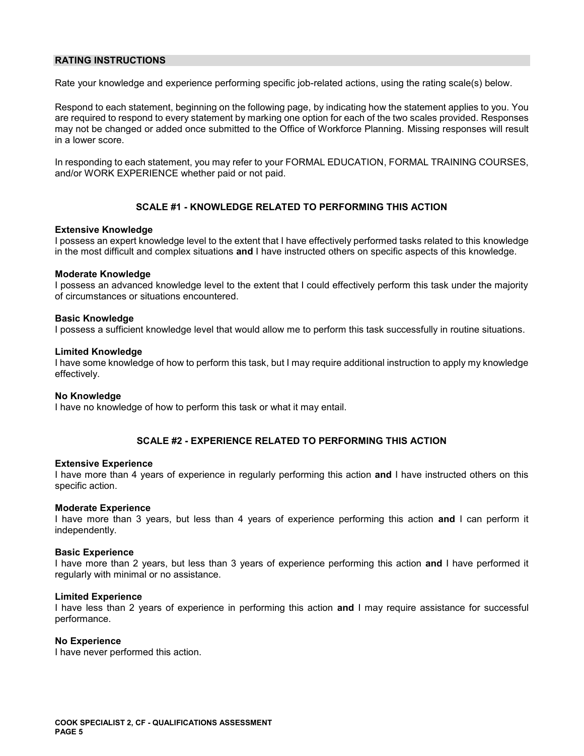## **RATING INSTRUCTIONS**

Rate your knowledge and experience performing specific job-related actions, using the rating scale(s) below.

Respond to each statement, beginning on the following page, by indicating how the statement applies to you. You are required to respond to every statement by marking one option for each of the two scales provided. Responses may not be changed or added once submitted to the Office of Workforce Planning. Missing responses will result in a lower score.

In responding to each statement, you may refer to your FORMAL EDUCATION, FORMAL TRAINING COURSES, and/or WORK EXPERIENCE whether paid or not paid.

## **SCALE #1 - KNOWLEDGE RELATED TO PERFORMING THIS ACTION**

## **Extensive Knowledge**

I possess an expert knowledge level to the extent that I have effectively performed tasks related to this knowledge in the most difficult and complex situations **and** I have instructed others on specific aspects of this knowledge.

## **Moderate Knowledge**

I possess an advanced knowledge level to the extent that I could effectively perform this task under the majority of circumstances or situations encountered.

## **Basic Knowledge**

I possess a sufficient knowledge level that would allow me to perform this task successfully in routine situations.

## **Limited Knowledge**

I have some knowledge of how to perform this task, but I may require additional instruction to apply my knowledge effectively.

### **No Knowledge**

I have no knowledge of how to perform this task or what it may entail.

## **SCALE #2 - EXPERIENCE RELATED TO PERFORMING THIS ACTION**

### **Extensive Experience**

I have more than 4 years of experience in regularly performing this action **and** I have instructed others on this specific action.

### **Moderate Experience**

I have more than 3 years, but less than 4 years of experience performing this action **and** I can perform it independently.

### **Basic Experience**

I have more than 2 years, but less than 3 years of experience performing this action **and** I have performed it regularly with minimal or no assistance.

### **Limited Experience**

I have less than 2 years of experience in performing this action **and** I may require assistance for successful performance.

## **No Experience**

I have never performed this action.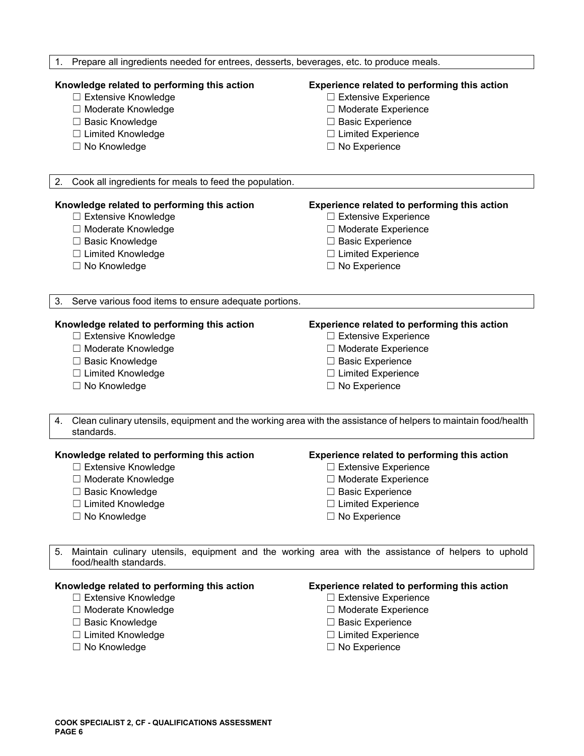| Prepare all ingredients needed for entrees, desserts, beverages, etc. to produce meals.<br>1.                                                                   |                                                                                                                                                                                        |
|-----------------------------------------------------------------------------------------------------------------------------------------------------------------|----------------------------------------------------------------------------------------------------------------------------------------------------------------------------------------|
| Knowledge related to performing this action<br>□ Extensive Knowledge<br>□ Moderate Knowledge<br>□ Basic Knowledge<br>□ Limited Knowledge<br>□ No Knowledge      | Experience related to performing this action<br>$\Box$ Extensive Experience<br>□ Moderate Experience<br>□ Basic Experience<br>$\Box$ Limited Experience<br>$\Box$ No Experience        |
|                                                                                                                                                                 |                                                                                                                                                                                        |
| 2.<br>Cook all ingredients for meals to feed the population.                                                                                                    |                                                                                                                                                                                        |
| Knowledge related to performing this action<br>□ Extensive Knowledge<br>□ Moderate Knowledge<br>□ Basic Knowledge<br>□ Limited Knowledge<br>□ No Knowledge      | Experience related to performing this action<br>$\Box$ Extensive Experience<br>□ Moderate Experience<br>$\Box$ Basic Experience<br>$\Box$ Limited Experience<br>$\Box$ No Experience   |
| 3.<br>Serve various food items to ensure adequate portions.                                                                                                     |                                                                                                                                                                                        |
| Knowledge related to performing this action<br>□ Extensive Knowledge<br>□ Moderate Knowledge<br>□ Basic Knowledge<br>□ Limited Knowledge<br>□ No Knowledge      | <b>Experience related to performing this action</b><br>$\Box$ Extensive Experience<br>□ Moderate Experience<br>□ Basic Experience<br>$\Box$ Limited Experience<br>$\Box$ No Experience |
| 4.<br>standards.                                                                                                                                                | Clean culinary utensils, equipment and the working area with the assistance of helpers to maintain food/health                                                                         |
| Knowledge related to performing this action<br>□ Extensive Knowledge<br>□ Moderate Knowledge<br>□ Basic Knowledge<br>□ Limited Knowledge<br>$\Box$ No Knowledge | Experience related to performing this action<br>□ Extensive Experience<br>□ Moderate Experience<br>$\Box$ Basic Experience<br>$\Box$ Limited Experience<br>□ No Experience             |
| 5.<br>food/health standards.                                                                                                                                    | Maintain culinary utensils, equipment and the working area with the assistance of helpers to uphold                                                                                    |
| Knowledge related to performing this action<br>□ Extensive Knowledge<br>□ Moderate Knowledge<br>□ Basic Knowledge<br>□ Limited Knowledge                        | Experience related to performing this action<br>□ Extensive Experience<br>□ Moderate Experience<br>$\Box$ Basic Experience<br>$\Box$ Limited Experience                                |

- 
- 
- 
- ☐ Limited Knowledge ☐ Limited Experience
	- □ No Experience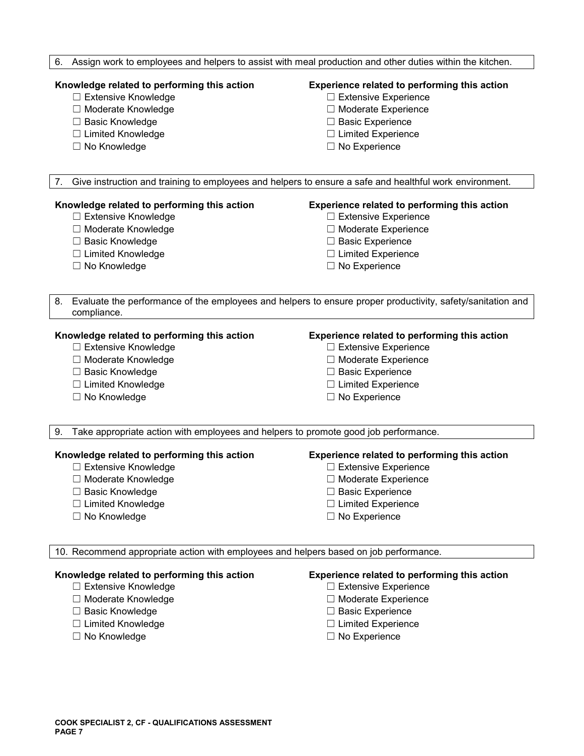### 6. Assign work to employees and helpers to assist with meal production and other duties within the kitchen.

- ☐ Extensive Knowledge ☐ Extensive Experience
- 
- 
- ☐ Limited Knowledge ☐ Limited Experience
- 

## **Knowledge related to performing this action Experience related to performing this action**

- 
- ☐ Moderate Knowledge ☐ Moderate Experience
- ☐ Basic Knowledge ☐ Basic Experience
	-
- ☐ No Knowledge ☐ No Experience

7. Give instruction and training to employees and helpers to ensure a safe and healthful work environment.

## **Knowledge related to performing this action Experience related to performing this action**

- 
- 
- 
- ☐ Limited Knowledge ☐ Limited Experience
- 

- ☐ Extensive Knowledge ☐ Extensive Experience
- ☐ Moderate Knowledge ☐ Moderate Experience
- ☐ Basic Knowledge ☐ Basic Experience
	-
- ☐ No Knowledge ☐ No Experience

8. Evaluate the performance of the employees and helpers to ensure proper productivity, safety/sanitation and compliance.

## **Knowledge related to performing this action Experience related to performing this action**

- ☐ Extensive Knowledge ☐ Extensive Experience
- 
- 
- ☐ Limited Knowledge ☐ Limited Experience
- 

- 
- ☐ Moderate Knowledge ☐ Moderate Experience
- ☐ Basic Knowledge ☐ Basic Experience
	-
- ☐ No Knowledge ☐ No Experience

9. Take appropriate action with employees and helpers to promote good job performance.

## **Knowledge related to performing this action Experience related to performing this action**

- ☐ Extensive Knowledge ☐ Extensive Experience
- ☐ Moderate Knowledge ☐ Moderate Experience
- 
- ☐ Limited Knowledge ☐ Limited Experience
- 

- 
- 
- ☐ Basic Knowledge ☐ Basic Experience
	-
- ☐ No Knowledge ☐ No Experience

10. Recommend appropriate action with employees and helpers based on job performance.

- ☐ Extensive Knowledge ☐ Extensive Experience
- ☐ Moderate Knowledge ☐ Moderate Experience
- ☐ Basic Knowledge ☐ Basic Experience
- 
- ☐ No Knowledge ☐ No Experience

## **Knowledge related to performing this action Experience related to performing this action**

- 
- 
- 
- ☐ Limited Knowledge ☐ Limited Experience
	-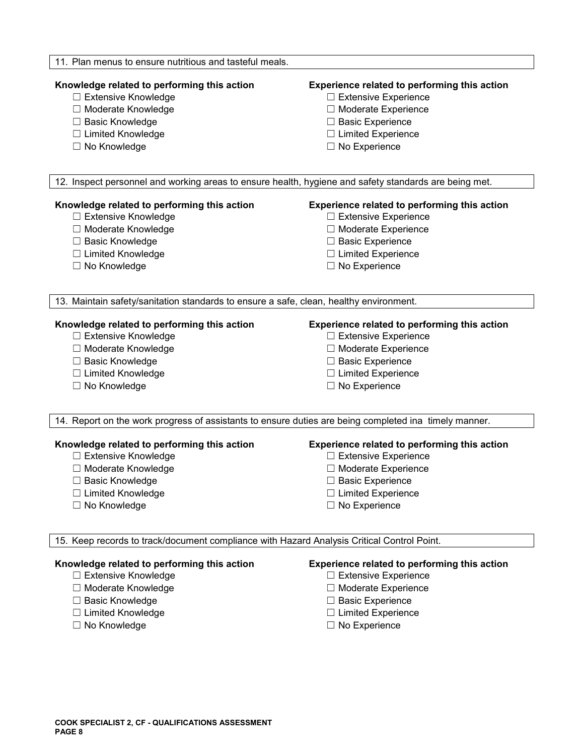### 11. Plan menus to ensure nutritious and tasteful meals.

- ☐ Extensive Knowledge ☐ Extensive Experience
- 
- 
- ☐ Limited Knowledge ☐ Limited Experience
- 

## **Knowledge related to performing this action Experience related to performing this action**

- 
- ☐ Moderate Knowledge ☐ Moderate Experience
- ☐ Basic Knowledge ☐ Basic Experience
	-
- ☐ No Knowledge ☐ No Experience

12. Inspect personnel and working areas to ensure health, hygiene and safety standards are being met.

## **Knowledge related to performing this action Experience related to performing this action**

- 
- 
- 
- ☐ Limited Knowledge ☐ Limited Experience
- 

- ☐ Extensive Knowledge ☐ Extensive Experience
- ☐ Moderate Knowledge ☐ Moderate Experience
- ☐ Basic Knowledge ☐ Basic Experience
	-
- ☐ No Knowledge ☐ No Experience

13. Maintain safety/sanitation standards to ensure a safe, clean, healthy environment.

- ☐ Extensive Knowledge ☐ Extensive Experience
- ☐ Moderate Knowledge ☐ Moderate Experience
- 
- 
- ☐ No Knowledge ☐ No Experience

## **Knowledge related to performing this action Experience related to performing this action**

- 
- 
- ☐ Basic Knowledge ☐ Basic Experience
- ☐ Limited Knowledge ☐ Limited Experience
	-

14. Report on the work progress of assistants to ensure duties are being completed ina timely manner.

- ☐ Extensive Knowledge ☐ Extensive Experience
- ☐ Moderate Knowledge ☐ Moderate Experience
- 
- ☐ Limited Knowledge ☐ Limited Experience
- ☐ No Knowledge ☐ No Experience

## **Knowledge related to performing this action Experience related to performing this action**

- 
- 
- ☐ Basic Knowledge ☐ Basic Experience
	-
	-

## 15. Keep records to track/document compliance with Hazard Analysis Critical Control Point.

- ☐ Extensive Knowledge ☐ Extensive Experience
- ☐ Moderate Knowledge ☐ Moderate Experience
- 
- 
- ☐ No Knowledge ☐ No Experience

## **Knowledge related to performing this action Experience related to performing this action**

- 
- 
- ☐ Basic Knowledge ☐ Basic Experience
- ☐ Limited Knowledge ☐ Limited Experience
	-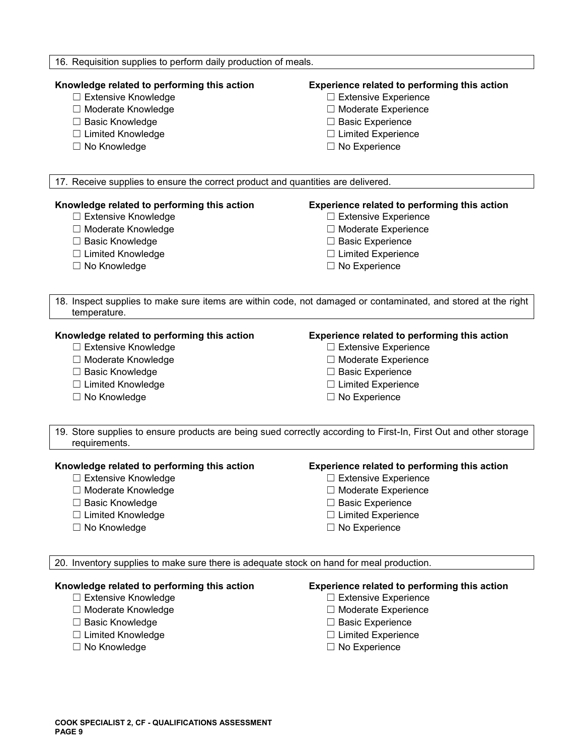## 16. Requisition supplies to perform daily production of meals.

- 
- 
- 
- ☐ Limited Knowledge ☐ Limited Experience
- 

## **Knowledge related to performing this action Experience related to performing this action**

- ☐ Extensive Knowledge ☐ Extensive Experience
- ☐ Moderate Knowledge ☐ Moderate Experience
- ☐ Basic Knowledge ☐ Basic Experience
	-
- ☐ No Knowledge ☐ No Experience

17. Receive supplies to ensure the correct product and quantities are delivered.

## **Knowledge related to performing this action Experience related to performing this action**

- 
- 
- 
- ☐ Limited Knowledge ☐ Limited Experience
- 

- ☐ Extensive Knowledge ☐ Extensive Experience
- ☐ Moderate Knowledge ☐ Moderate Experience
- ☐ Basic Knowledge ☐ Basic Experience
	-
- ☐ No Knowledge ☐ No Experience

18. Inspect supplies to make sure items are within code, not damaged or contaminated, and stored at the right temperature.

## **Knowledge related to performing this action Experience related to performing this action**

- ☐ Extensive Knowledge ☐ Extensive Experience
- ☐ Moderate Knowledge ☐ Moderate Experience
- ☐ Basic Knowledge ☐ Basic Experience
- ☐ Limited Knowledge ☐ Limited Experience
- 

- 
- 
- 
- 
- ☐ No Knowledge ☐ No Experience

19. Store supplies to ensure products are being sued correctly according to First-In, First Out and other storage requirements.

- ☐ Extensive Knowledge ☐ Extensive Experience
- 
- ☐ Basic Knowledge ☐ Basic Experience
- ☐ Limited Knowledge ☐ Limited Experience
- 

## **Knowledge related to performing this action Experience related to performing this action**

- 
- ☐ Moderate Knowledge ☐ Moderate Experience
	-
	-
- ☐ No Knowledge ☐ No Experience

20. Inventory supplies to make sure there is adequate stock on hand for meal production.

- 
- ☐ Moderate Knowledge ☐ Moderate Experience
- 
- ☐ Limited Knowledge ☐ Limited Experience
- 

## **Knowledge related to performing this action Experience related to performing this action**

- ☐ Extensive Knowledge ☐ Extensive Experience
	-
- ☐ Basic Knowledge ☐ Basic Experience
	-
- ☐ No Knowledge ☐ No Experience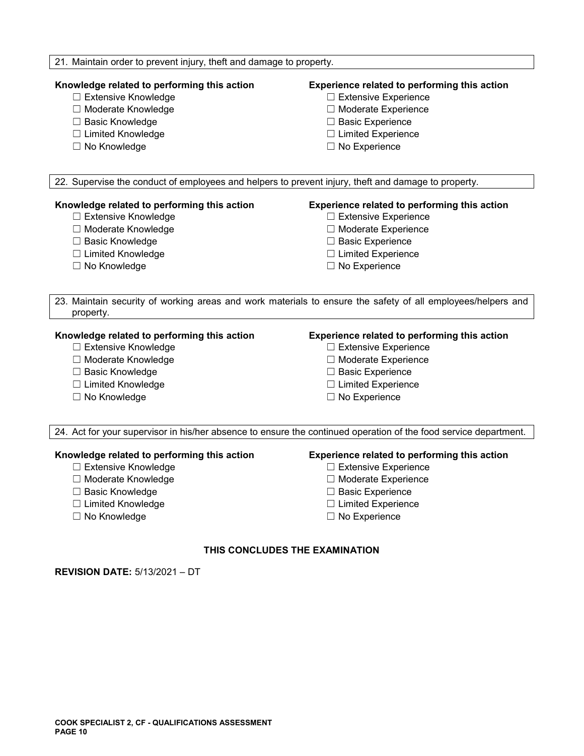## 21. Maintain order to prevent injury, theft and damage to property.

## **Knowledge related to performing this action Experience related to performing this action**

- ☐ Extensive Knowledge ☐ Extensive Experience
- ☐ Moderate Knowledge ☐ Moderate Experience
- 
- ☐ Limited Knowledge ☐ Limited Experience
- 

- 
- 
- ☐ Basic Knowledge ☐ Basic Experience
	-
- ☐ No Knowledge ☐ No Experience

22. Supervise the conduct of employees and helpers to prevent injury, theft and damage to property.

## **Knowledge related to performing this action Experience related to performing this action**

- 
- 
- 
- 
- 

- ☐ Extensive Knowledge ☐ Extensive Experience
- ☐ Moderate Knowledge ☐ Moderate Experience
- ☐ Basic Knowledge ☐ Basic Experience
- ☐ Limited Knowledge ☐ Limited Experience
- ☐ No Knowledge ☐ No Experience

23. Maintain security of working areas and work materials to ensure the safety of all employees/helpers and property.

## **Knowledge related to performing this action Experience related to performing this action**

- ☐ Extensive Knowledge ☐ Extensive Experience
- ☐ Moderate Knowledge ☐ Moderate Experience
- ☐ Basic Knowledge ☐ Basic Experience
- ☐ Limited Knowledge ☐ Limited Experience
- 

- 
- 
- 
- 
- ☐ No Knowledge ☐ No Experience

24. Act for your supervisor in his/her absence to ensure the continued operation of the food service department.

### **Knowledge related to performing this action Experience related to performing this action**

- ☐ Extensive Knowledge ☐ Extensive Experience
- ☐ Moderate Knowledge ☐ Moderate Experience
- ☐ Basic Knowledge ☐ Basic Experience
- ☐ Limited Knowledge ☐ Limited Experience
- 

- 
- 
- 
- 
- ☐ No Knowledge ☐ No Experience

## **THIS CONCLUDES THE EXAMINATION**

**REVISION DATE:** 5/13/2021 – DT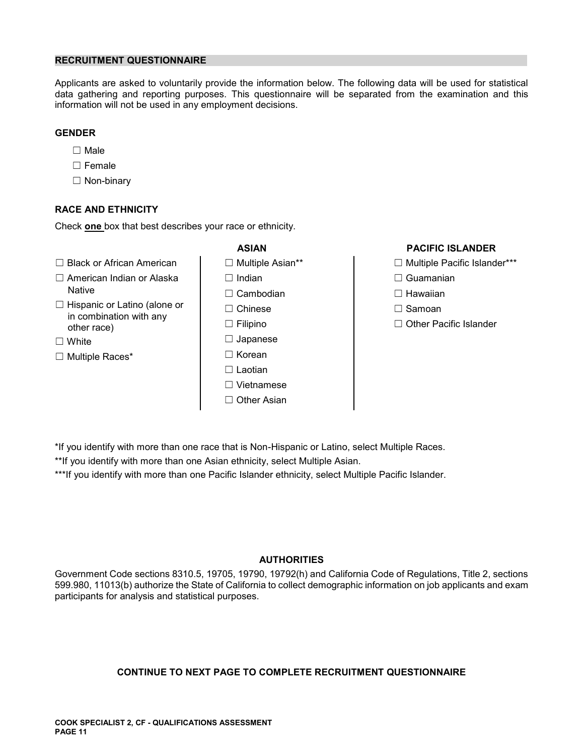## **RECRUITMENT QUESTIONNAIRE**

Applicants are asked to voluntarily provide the information below. The following data will be used for statistical data gathering and reporting purposes. This questionnaire will be separated from the examination and this information will not be used in any employment decisions.

## **GENDER**

- ☐ Male
- ☐ Female
- ☐ Non-binary

## **RACE AND ETHNICITY**

Check **one** box that best describes your race or ethnicity.

- ☐ Black or African American ☐ Multiple Asian\*\* ☐ Multiple Pacific Islander\*\*\*
- ☐ American Indian or Alaska ☐ Indian ☐ Guamanian
- ☐ Hispanic or Latino (alone or ☐ Chinese ☐ Samoan in combination with any other race) ☐ Filipino ☐ Other Pacific Islander
- 
- 
- Native ☐ Cambodian ☐ Hawaiian ☐ White ☐ Japanese ☐ Multiple Races\* ☐ Korean ☐ Laotian ☐ Vietnamese ☐ Other Asian

## **ASIAN PACIFIC ISLANDER**

- 
- 
- 
- 
- 

- \*If you identify with more than one race that is Non-Hispanic or Latino, select Multiple Races.
- \*\*If you identify with more than one Asian ethnicity, select Multiple Asian.

\*\*\*If you identify with more than one Pacific Islander ethnicity, select Multiple Pacific Islander.

## **AUTHORITIES**

Government Code sections 8310.5, 19705, 19790, 19792(h) and California Code of Regulations, Title 2, sections 599.980, 11013(b) authorize the State of California to collect demographic information on job applicants and exam participants for analysis and statistical purposes.

## **CONTINUE TO NEXT PAGE TO COMPLETE RECRUITMENT QUESTIONNAIRE**